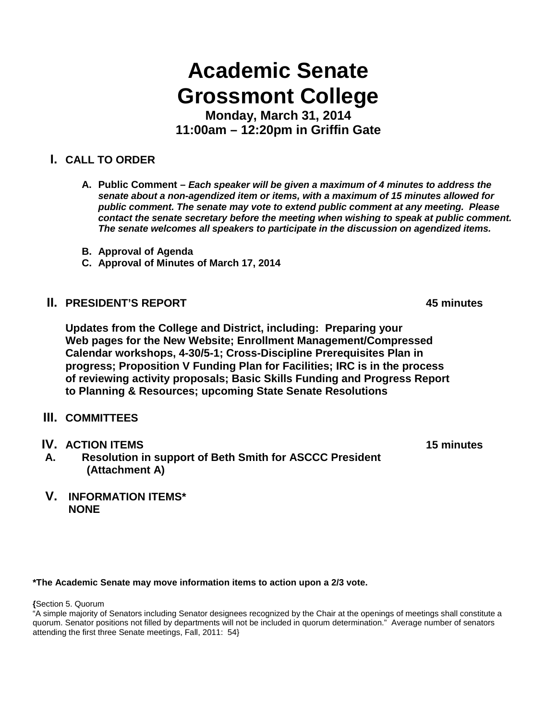## **Academic Senate Grossmont College**

**Monday, March 31, 2014 11:00am – 12:20pm in Griffin Gate**

## **I. CALL TO ORDER**

- **A. Public Comment –** *Each speaker will be given a maximum of 4 minutes to address the senate about a non-agendized item or items, with a maximum of 15 minutes allowed for public comment. The senate may vote to extend public comment at any meeting. Please contact the senate secretary before the meeting when wishing to speak at public comment. The senate welcomes all speakers to participate in the discussion on agendized items.*
- **B. Approval of Agenda**
- **C. Approval of Minutes of March 17, 2014**
- **II. PRESIDENT'S REPORT 45 minutes**

**Updates from the College and District, including: Preparing your Web pages for the New Website; Enrollment Management/Compressed Calendar workshops, 4-30/5-1; Cross-Discipline Prerequisites Plan in progress; Proposition V Funding Plan for Facilities; IRC is in the process of reviewing activity proposals; Basic Skills Funding and Progress Report to Planning & Resources; upcoming State Senate Resolutions**

- **III. COMMITTEES**
- 
- **IV. ACTION ITEMS 15 minutes A. Resolution in support of Beth Smith for ASCCC President (Attachment A)**
- **V. INFORMATION ITEMS\* NONE**

## **\*The Academic Senate may move information items to action upon a 2/3 vote.**

**{**Section 5. Quorum

"A simple majority of Senators including Senator designees recognized by the Chair at the openings of meetings shall constitute a quorum. Senator positions not filled by departments will not be included in quorum determination." Average number of senators attending the first three Senate meetings, Fall, 2011: 54}